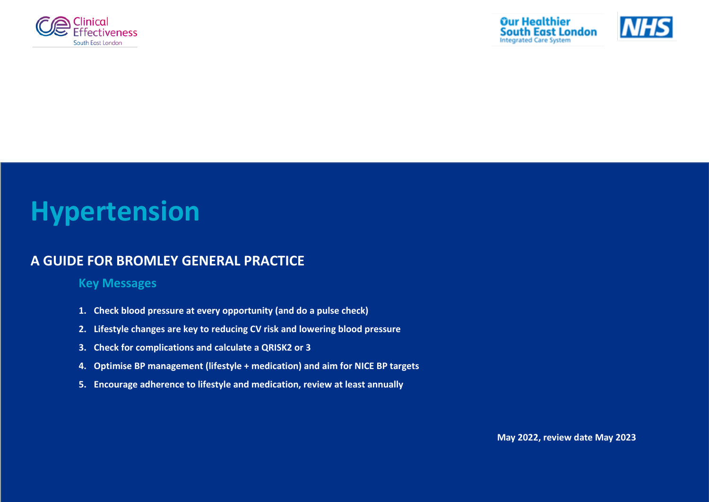



# **Hypertension**

## **A GUIDE FOR BROMLEY GENERAL PRACTICE**

## **Key Messages**

- **1. Check blood pressure at every opportunity (and do a pulse check)**
- **2. Lifestyle changes are key to reducing CV risk and lowering blood pressure**
- **3. Check for complications and calculate a QRISK2 or 3**
- **4. Optimise BP management (lifestyle + medication) and aim for NICE BP targets**
- **5. Encourage adherence to lifestyle and medication, review at least annually**

**May 2022, review date May 2023**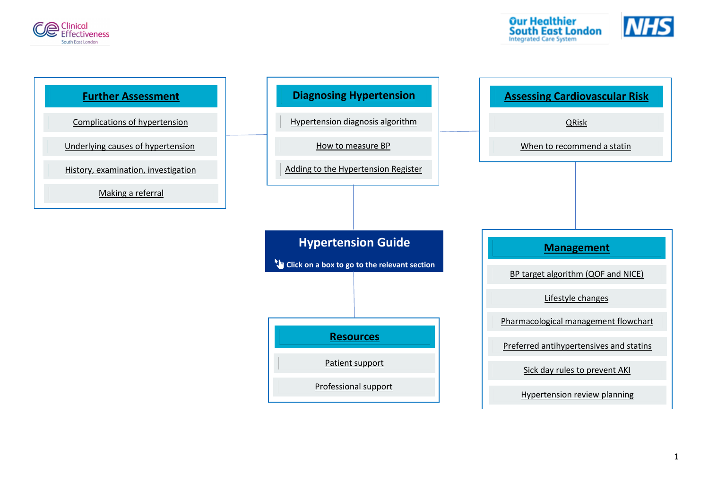



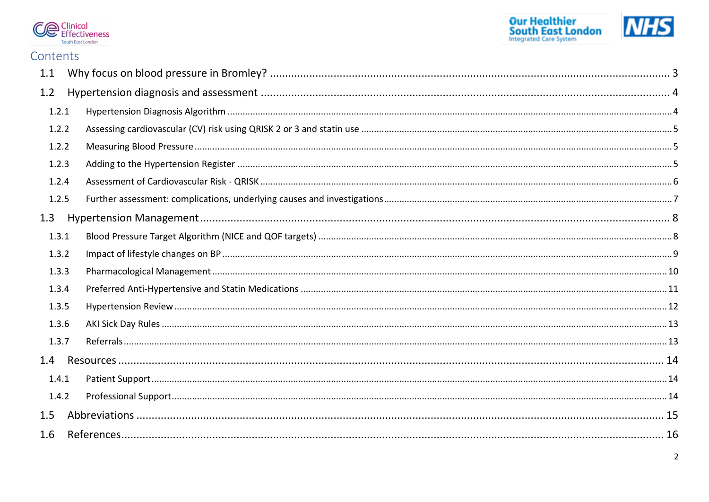



## Contents

| 1.1   |  |
|-------|--|
| 1.2   |  |
| 1.2.1 |  |
| 1.2.2 |  |
| 1.2.2 |  |
| 1.2.3 |  |
| 1.2.4 |  |
| 1.2.5 |  |
| 1.3   |  |
| 1.3.1 |  |
| 1.3.2 |  |
| 1.3.3 |  |
| 1.3.4 |  |
| 1.3.5 |  |
| 1.3.6 |  |
| 1.3.7 |  |
| 1.4   |  |
| 1.4.1 |  |
| 1.4.2 |  |
| 1.5   |  |
| 1.6   |  |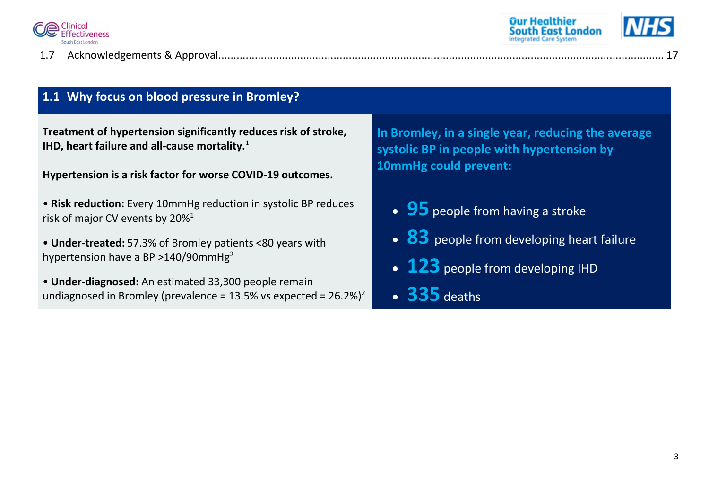

1.7 [Acknowledgements & Approval...................................................................................................................................................](#page-17-0) 17





## <span id="page-3-0"></span>**1.1 Why focus on blood pressure in Bromley?**

**Treatment of hypertension significantly reduces risk of stroke, IHD, heart failure and all-cause mortality.<sup>1</sup>**

**Hypertension is a risk factor for worse COVID-19 outcomes.** 

- **Risk reduction:** Every 10mmHg reduction in systolic BP reduces risk of major CV events by 20%[1](#page-16-1)
- **Under-treated:** 57.3% of Bromley patients <80 years with hypertension have a BP  $>$ 140/90mmHg<sup>[2](#page-16-2)</sup>
- **Under-diagnosed:** An estimated 33,300 people remain undiagnosed in Bromley (prevalence =  $13.5\%$  vs expected =  $26.2\%$  $26.2\%$ )<sup>2</sup>

**In Bromley, in a single year, reducing the average systolic BP in people with hypertension by 10mmHg could prevent:**

- **95** people from having a stroke
- **83** people from developing heart failure
- 123 people from developing IHD
- **335** deaths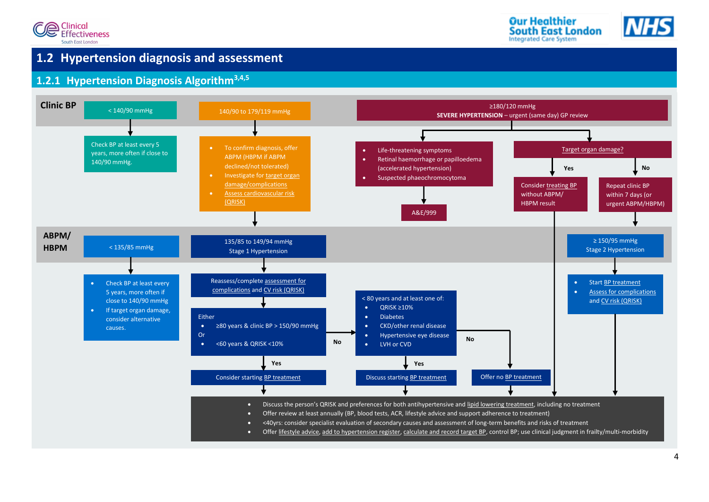





## <span id="page-4-0"></span>**1.2 Hypertension diagnosis and assessment**

## <span id="page-4-1"></span>**1.2.1 Hypertension Diagnosis Algorithm[3](#page-16-3)[,4](#page-16-4)[,5](#page-16-5)**

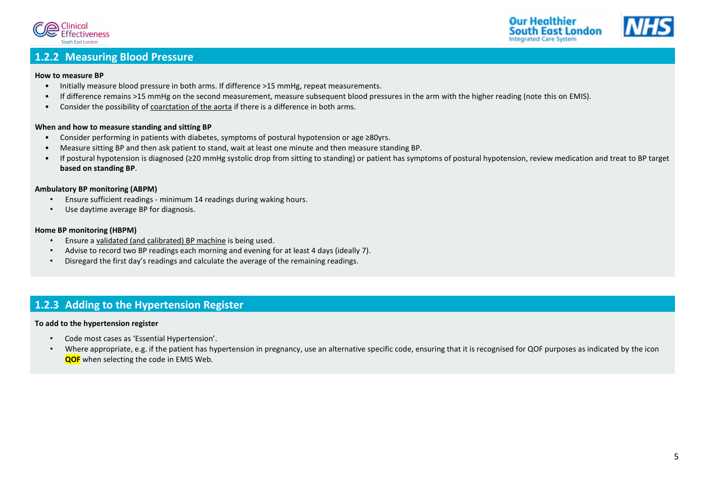



## <span id="page-5-0"></span>**1.2.2 Measuring Blood Pressure**

#### **How to measure BP**

- Initially measure blood pressure in both arms. If difference >15 mmHg, repeat measurements.
- If difference remains >15 mmHg on the second measurement, measure subsequent blood pressures in the arm with the higher reading (note this on EMIS).
- <span id="page-5-2"></span>**•** Consider the possibility of **coarctation of the aorta** if there is a difference in both arms.

## **What is QRISK? When and how to measure standing and sitting BP**

- Consider performing in patients with diabetes, symptoms of postural hypotension or age ≥80yrs.
- Measure sitting BP and then ask patient to stand, wait at least one minute and then measure standing BP.
- Меаѕиге sitting BP and then ask patient to stand, wait at least one minute and then measure standing BP.<br>If postural hypotension is diagnosed (≥20 mmHg systolic drop from sitting to standing) or patient has symptoms of p **• Note also already high risk of CVD** (should be considered for statin therapy anyway): **based on standing BP**. ▪ Chronic kidney disease (includes stage 3 CKD) • If postural hypotension is diagnosed (≥20 mmHg systolic drop from sitting to standing) or patient has symptoms of postural hypotension, review medication and treat to BP target

### Ambulatory BP monitoring (ABPM)

- Ensure sufficient readings minimum 14 readings during waking hours.
- Use daytime average BP for diagnosis.

#### **Frame BP monitoring (HBPM)** *COVD risk is required to adjust for factors that the risk is required to a distribution* $\mathbf{r}$

- Ensure a validated (and calibrated) BP machine is being used.
- Advise to record two BP readings each morning and evening for at least 4 days (ideally 7).
- Disregard the first day's readings and calculate the average of the remaining readings.

## <span id="page-5-1"></span>**1.2.3 Adding to the Hypertension Register**

#### **To add to the hypertension register**

- Code most cases as 'Essential Hypertension'.
- Where appropriate, e.g. if the patient has hypertension in pregnancy, use an alternative specific code, ensuring that it is recognised for QOF purposes as indicated by the icon **QOF** when selecting the code in EMIS Web.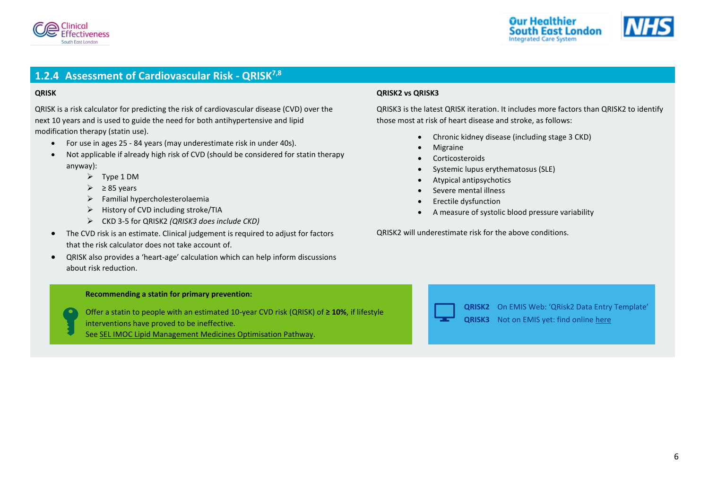



## <span id="page-6-0"></span>**1.2.4 Assessment of Cardiovascular Risk - QRISK[7,](#page-16-6)[8](#page-16-7)**

#### <span id="page-6-1"></span>**QRISK**

QRISK is a risk calculator for predicting the risk of cardiovascular disease (CVD) over the next 10 years and is used to guide the need for both antihypertensive and lipid modification therapy (statin use).

- For use in ages 25 84 years (may underestimate risk in under 40s).
- Not applicable if already high risk of CVD (should be considered for statin therapy anyway):
	- ➢ Type 1 DM
	- $\geq$  285 years
	- $\triangleright$  Familial hypercholesterolaemia
	- ➢ History of CVD including stroke/TIA
	- ➢ CKD 3-5 for QRISK2 *(QRISK3 does include CKD)*
- The CVD risk is an estimate. Clinical judgement is required to adjust for factors that the risk calculator does not take account of.
- <span id="page-6-2"></span>• QRISK also provides a 'heart-age' calculation which can help inform discussions about risk reduction.

#### **Recommending a statin for primary prevention:**

Offer a statin to people with an estimated 10-year CVD risk (QRISK) of **≥ 10%**, if lifestyle interventions have proved to be ineffective.

See SEL IMOC [Lipid Management Medicines Optimisation Pathway.](https://selondonccg.nhs.uk/download/16002/)

#### **QRISK2 vs QRISK3**

QRISK3 is the latest QRISK iteration. It includes more factors than QRISK2 to identify those most at risk of heart disease and stroke, as follows:

- Chronic kidney disease (including stage 3 CKD)
- **Migraine**
- **Corticosteroids**
- Systemic lupus erythematosus (SLE)
- Atypical antipsychotics
- Severe mental illness
- Erectile dysfunction
- A measure of systolic blood pressure variability

QRISK2 will underestimate risk for the above conditions.



**QRISK2** On EMIS Web: 'QRisk2 Data Entry Template' **QRISK3** Not on EMIS yet: find online [here](https://www.qrisk.org/three/)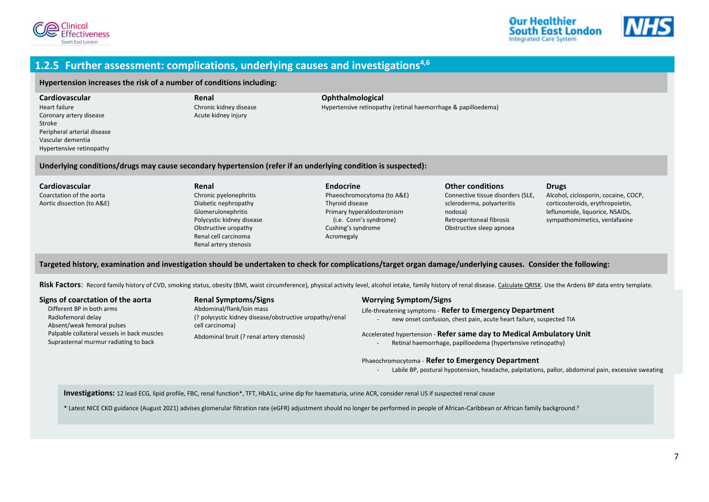



### <span id="page-7-0"></span>**1.2.5 Further assessment: complications, underlying causes and investigations[4,](#page-16-4)[6](#page-16-8)**

#### <span id="page-7-1"></span>**Hypertension increases the risk of a number of conditions including:**

**Cardiovascular** Heart failure Coronary artery disease Stroke Peripheral arterial disease Vascular dementia Hypertensive retinopathy

**Renal** Chronic kidney disease Acute kidney injury

#### **Ophthalmological**

Hypertensive retinopathy (retinal haemorrhage & papilloedema)

<span id="page-7-2"></span>**Underlying conditions/drugs may cause secondary hypertension (refer if an underlying condition is suspected):**

#### **Cardiovascular**

Coarctation of the aorta Aortic dissection (to A&E)

- **Renal** Chronic pyelonephritis Diabetic nephropathy Glomerulonephritis Polycystic kidney disease Obstructive uropathy Renal cell carcinoma Renal artery stenosis
- **Endocrine** Phaeochromocytoma (to A&E) Thyroid disease Primary hyperaldosteronism (i.e. Conn's syndrome) Cushing's syndrome Acromegaly

#### Connective tissue disorders (SLE, **Drugs**

Alcohol, ciclosporin, cocaine, COCP, corticosteroids, erythropoietin, leflunomide, liquorice, NSAIDs, sympathomimetics, venlafaxine

#### <span id="page-7-3"></span>**Targeted history, examination and investigation should be undertaken to check for complications/target organ damage/underlying causes. Consider the following:**

Risk Factors: Record family history of CVD, smoking status, obesity (BMI, waist circumference), physical activity level, alcohol intake, family history of renal disease, Calculate QRISK, Use the Ardens BP data entry templa

#### <span id="page-7-4"></span>**Signs of coarctation of the aorta**

Different BP in both arms Radiofemoral delay Absent/weak femoral pulses Palpable collateral vessels in back muscles Suprasternal murmur radiating to back

#### **Renal Symptoms/Signs** Abdominal/flank/loin mass (? polycystic kidney disease/obstructive uropathy/renal cell carcinoma)

Abdominal bruit (? renal artery stenosis)

#### <span id="page-7-5"></span>**Worrying Symptom/Signs**

#### Life-threatening symptoms - **Refer to Emergency Department**

nodosa)

new onset confusion, chest pain, acute heart failure, suspected TIA

**Other conditions**

scleroderma, polyarteritis

Retroperitoneal fibrosis Obstructive sleep apnoea

#### Accelerated hypertension - **Refer same day to Medical Ambulatory Unit**

Retinal haemorrhage, papilloedema (hypertensive retinopathy)

#### Phaeochromocytoma - **Refer to Emergency Department**

Labile BP, postural hypotension, headache, palpitations, pallor, abdominal pain, excessive sweating

**Investigations:** 12 lead ECG, lipid profile, FBC, renal function\*, TFT, HbA1c, urine dip for haematuria, urine ACR, consider renal US if suspected renal cause

\* Latest NICE CKD guidance (August 2021) advises glomerular filtration rate (eGFR) adjustment should no longer be performed in people of African-Caribbean or African family backgroun[d.](#page-16-9) 9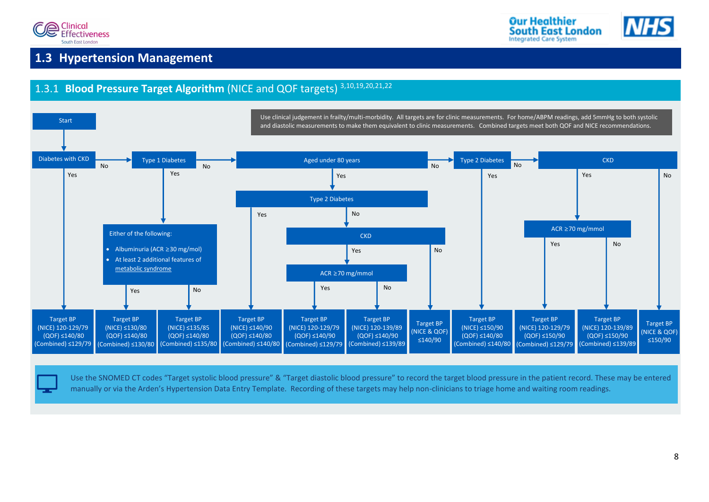



## <span id="page-8-0"></span>**1.3 Hypertension Management**

#### <span id="page-8-1"></span>1.3.1 **Blood Pressure Target Algorithm** (NICE and QOF targets) [3,](#page-16-3)[10](#page-16-10)[,19,](#page-16-11)[20](#page-16-12)[,21,](#page-16-13)[22](#page-16-14) Yes Yes and the set of the Monday of the Monday of the Monday of the Monday of the Monday of the Monday of the Mon ACR ≥70 mg/mmol Use clinical judgement in frailty/multi-morbidity. All targets are for clinic measurements. For home/ABPM readings, add 5mmHg to both systolic and diastolic measurements to make them equivalent to clinic measurements. Combined targets meet both QOF and NICE recommendations. **CKD** No Yes ACR ≥70 mg/mmol Aged under 80 years The Communication of the Communication of the Type 2 Diabetes Type 2 Diabetes **CKD** Type 1 Diabetes No Yes Yes No Target BP (NICE & QOF) ≤150/90 Diabetes with CKD No No No Yes Yes Target BP (NICE) ≤150/90 (QOF) ≤140/80 (Combined) ≤140/80 Target BP (NICE) 120-129/79 (QOF) ≤140/90 (Combined) ≤129/79 No Target BP (NICE) 120-139/89 (QOF) ≤150/90 (Combined) ≤139/89 Target BP (NICE) 120-139/89 (QOF) ≤140/90 (Combined) ≤139/89 Yes Yes Target BP (NICE) ≤135/85 (QOF) ≤140/80 (Combined) ≤135/80 Target BP (NICE) 120-129/79 (QOF) ≤140/80 (Combined) ≤129/79 Target BP (NICE) 120-129/79 (QOF) ≤150/90 (Combined) ≤129/79 Target BP (NICE) ≤140/90 (QOF) ≤140/80 (Combined) ≤140/80 Either of the following: • Albuminuria (ACR ≥30 mg/mol) • At least 2 additional features of [metabolic syndrome](https://patient.info/doctor/metabolic-syndrome#nav-0) **Start** Target BP (NICE) ≤130/80 (QOF) ≤140/80 (Combined) ≤130/80 Target BP (NICE & QOF) ≤140/90 Yes No No

Use the SNOMED CT codes "Target systolic blood pressure" & "Target diastolic blood pressure" to record the target blood pressure in the patient record. These may be entered manually or via the Arden's Hypertension Data Entry Template. Recording of these targets may help non-clinicians to triage home and waiting room readings.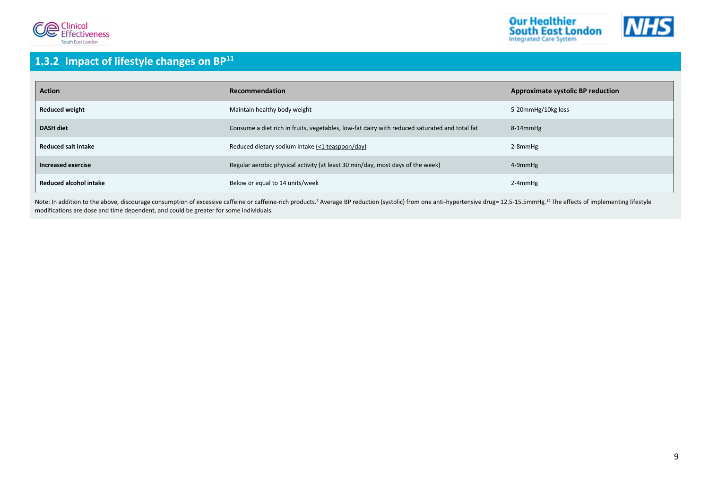



## <span id="page-9-0"></span>**1.3.2 Impact of lifestyle changes on BP[11](#page-16-15)**

| <b>Action</b>                 | Recommendation                                                                                | <b>Approximate systolic BP reduction</b> |
|-------------------------------|-----------------------------------------------------------------------------------------------|------------------------------------------|
| <b>Reduced weight</b>         | Maintain healthy body weight                                                                  | 5-20mmHg/10kg loss                       |
| <b>DASH diet</b>              | Consume a diet rich in fruits, vegetables, low-fat dairy with reduced saturated and total fat | 8-14mmHg                                 |
| <b>Reduced salt intake</b>    | Reduced dietary sodium intake (<1 teaspoon/day)                                               | $2-8$ mm $Hg$                            |
| Increased exercise            | Regular aerobic physical activity (at least 30 min/day, most days of the week)                | 4-9mmHg                                  |
| <b>Reduced alcohol intake</b> | Below or equal to 14 units/week                                                               | $2-4$ mm $Hg$                            |

Note: In addition to the above, discourage consumption of excessive caffeine or caffeine-rich products[.](#page-16-3)<sup>3</sup> Average BP reduction (systolic) from one anti-hypertensive drug= [12](#page-16-16).5-15.5mmHg.<sup>12</sup> The effects of implementing lif modifications are dose and time dependent, and could be greater for some individuals.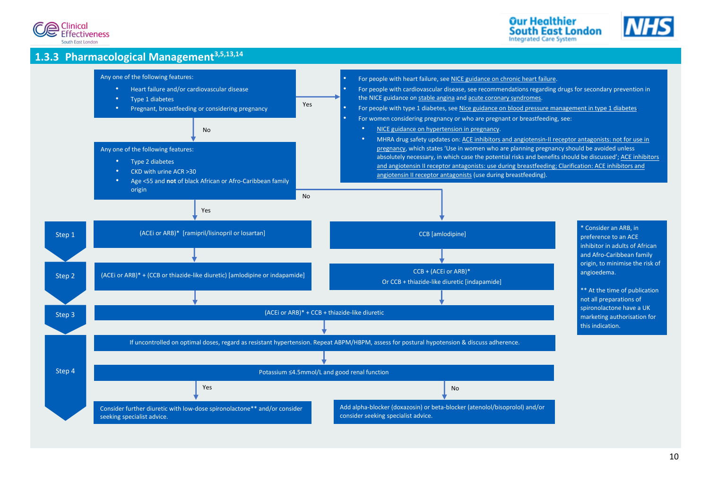





## <span id="page-10-0"></span>**1.3.3 Pharmacological Management[3](#page-16-3)[,5](#page-16-5)[,13,](#page-16-17)[14](#page-16-18)**

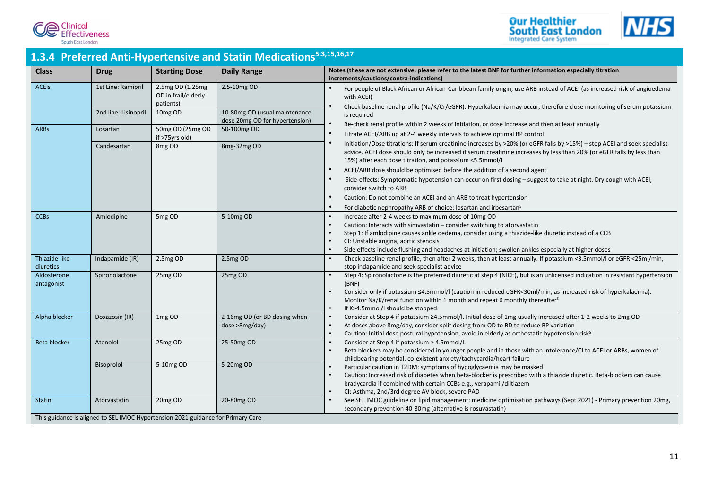





## <span id="page-11-0"></span>**1.3.4 Preferred Anti-Hypertensive and Statin Medications [5](#page-16-5)[,3](#page-16-3)[,15,](#page-16-19)[16,](#page-16-20)[17](#page-16-21)**

| <b>Class</b>               | <b>Drug</b>                                                                                      | <b>Starting Dose</b>                                            | <b>Daily Range</b>                                                             | Notes (these are not extensive, please refer to the latest BNF for further information especially titration<br>increments/cautions/contra-indications)                                                                                                                                                                                                                                                                                                                                          |
|----------------------------|--------------------------------------------------------------------------------------------------|-----------------------------------------------------------------|--------------------------------------------------------------------------------|-------------------------------------------------------------------------------------------------------------------------------------------------------------------------------------------------------------------------------------------------------------------------------------------------------------------------------------------------------------------------------------------------------------------------------------------------------------------------------------------------|
| <b>ACEIS</b>               | 1st Line: Ramipril<br>2nd line: Lisinopril                                                       | 2.5mg OD (1.25mg<br>OD in frail/elderly<br>patients)<br>10mg OD | 2.5-10mg OD<br>10-80mg OD (usual maintenance<br>dose 20mg OD for hypertension) | For people of Black African or African-Caribbean family origin, use ARB instead of ACEI (as increased risk of angioedema<br>with ACEI)<br>Check baseline renal profile (Na/K/Cr/eGFR). Hyperkalaemia may occur, therefore close monitoring of serum potassium<br>is required                                                                                                                                                                                                                    |
| <b>ARBs</b>                | Losartan<br>Candesartan                                                                          | 50mg OD (25mg OD<br>if >75yrs old)<br>8 <sub>mg</sub> OD        | 50-100mg OD<br>8mg-32mg OD                                                     | Re-check renal profile within 2 weeks of initiation, or dose increase and then at least annually<br>Titrate ACEI/ARB up at 2-4 weekly intervals to achieve optimal BP control<br>Initiation/Dose titrations: If serum creatinine increases by >20% (or eGFR falls by >15%) - stop ACEI and seek specialist<br>advice. ACEI dose should only be increased if serum creatinine increases by less than 20% (or eGFR falls by less than<br>15%) after each dose titration, and potassium <5.5mmol/l |
|                            |                                                                                                  |                                                                 |                                                                                | ACEI/ARB dose should be optimised before the addition of a second agent<br>Side-effects: Symptomatic hypotension can occur on first dosing – suggest to take at night. Dry cough with ACEI,<br>consider switch to ARB<br>Caution: Do not combine an ACEI and an ARB to treat hypertension<br>For diabetic nephropathy ARB of choice: losartan and irbesartan <sup>5</sup>                                                                                                                       |
| <b>CCBs</b>                | Amlodipine                                                                                       | 5mg OD                                                          | 5-10mg OD                                                                      | Increase after 2-4 weeks to maximum dose of 10mg OD<br>Caution: Interacts with simvastatin - consider switching to atorvastatin<br>Step 1: If amlodipine causes ankle oedema, consider using a thiazide-like diuretic instead of a CCB<br>CI: Unstable angina, aortic stenosis<br>Side effects include flushing and headaches at initiation; swollen ankles especially at higher doses                                                                                                          |
| Thiazide-like<br>diuretics | Indapamide (IR)                                                                                  | 2.5mg OD                                                        | 2.5mg OD                                                                       | Check baseline renal profile, then after 2 weeks, then at least annually. If potassium <3.5mmol/l or eGFR <25ml/min,<br>stop indapamide and seek specialist advice                                                                                                                                                                                                                                                                                                                              |
| Aldosterone<br>antagonist  | Spironolactone                                                                                   | 25mg OD                                                         | 25mg OD                                                                        | Step 4: Spironolactone is the preferred diuretic at step 4 (NICE), but is an unlicensed indication in resistant hypertension<br>(BNF)<br>Consider only if potassium ≤4.5mmol/l (caution in reduced eGFR<30ml/min, as increased risk of hyperkalaemia).<br>Monitor Na/K/renal function within 1 month and repeat 6 monthly thereafter <sup>5</sup><br>If K>4.5mmol/l should be stopped.                                                                                                          |
| Alpha blocker              | Doxazosin (IR)                                                                                   | 1mg OD                                                          | 2-16mg OD (or BD dosing when<br>dose >8mg/day)                                 | Consider at Step 4 if potassium ≥4.5mmol/l. Initial dose of 1mg usually increased after 1-2 weeks to 2mg OD<br>At doses above 8mg/day, consider split dosing from OD to BD to reduce BP variation<br>Caution: Initial dose postural hypotension, avoid in elderly as orthostatic hypotension risk <sup>5</sup>                                                                                                                                                                                  |
| <b>Beta blocker</b>        | Atenolol                                                                                         | 25mg OD                                                         | 25-50mg OD                                                                     | Consider at Step 4 if potassium ≥ 4.5mmol/l.<br>Beta blockers may be considered in younger people and in those with an intolerance/CI to ACEI or ARBs, women of<br>childbearing potential, co-existent anxiety/tachycardia/heart failure                                                                                                                                                                                                                                                        |
|                            | Bisoprolol                                                                                       | 5-10mg OD                                                       | 5-20mg OD                                                                      | Particular caution in T2DM: symptoms of hypoglycaemia may be masked<br>Caution: Increased risk of diabetes when beta-blocker is prescribed with a thiazide diuretic. Beta-blockers can cause<br>bradycardia if combined with certain CCBs e.g., verapamil/diltiazem<br>CI: Asthma, 2nd/3rd degree AV block, severe PAD                                                                                                                                                                          |
| <b>Statin</b>              | Atorvastatin<br>This guidance is aligned to SEL IMOC Hypertension 2021 guidance for Primary Care | 20mg OD                                                         | 20-80mg OD                                                                     | See SEL IMOC guideline on lipid management: medicine optimisation pathways (Sept 2021) - Primary prevention 20mg,<br>secondary prevention 40-80mg (alternative is rosuvastatin)                                                                                                                                                                                                                                                                                                                 |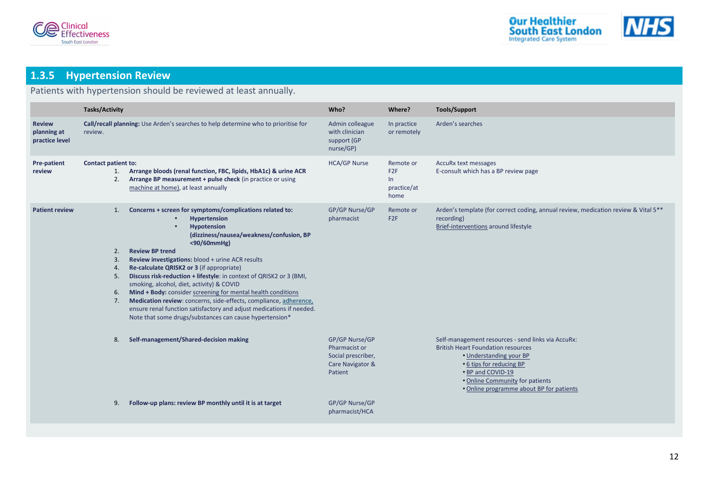



## <span id="page-12-1"></span><span id="page-12-0"></span>**1.3.5 Hypertension Review**

## Patients with hypertension should be reviewed at least annually.

|                                                | <b>Tasks/Activity</b>                                                                                                                                                                                          |                                                                                                                                                                                                                                                                                                                                                                                                                                                                                                                                                                                                                                                                                         | Who?                                                                                                   | Where?                                           | <b>Tools/Support</b>                                                                                                                                                                                                                                       |
|------------------------------------------------|----------------------------------------------------------------------------------------------------------------------------------------------------------------------------------------------------------------|-----------------------------------------------------------------------------------------------------------------------------------------------------------------------------------------------------------------------------------------------------------------------------------------------------------------------------------------------------------------------------------------------------------------------------------------------------------------------------------------------------------------------------------------------------------------------------------------------------------------------------------------------------------------------------------------|--------------------------------------------------------------------------------------------------------|--------------------------------------------------|------------------------------------------------------------------------------------------------------------------------------------------------------------------------------------------------------------------------------------------------------------|
| <b>Review</b><br>planning at<br>practice level | review.                                                                                                                                                                                                        | Call/recall planning: Use Arden's searches to help determine who to prioritise for                                                                                                                                                                                                                                                                                                                                                                                                                                                                                                                                                                                                      | Admin colleague<br>with clinician<br>support (GP<br>nurse/GP)                                          | In practice<br>or remotely                       | Arden's searches                                                                                                                                                                                                                                           |
| Pre-patient<br>review                          | <b>Contact patient to:</b><br>Arrange bloods (renal function, FBC, lipids, HbA1c) & urine ACR<br>1.<br>Arrange BP measurement + pulse check (in practice or using<br>2.<br>machine at home), at least annually |                                                                                                                                                                                                                                                                                                                                                                                                                                                                                                                                                                                                                                                                                         | <b>HCA/GP Nurse</b>                                                                                    | Remote or<br>F2F<br>$\ln$<br>practice/at<br>home | AccuRx text messages<br>E-consult which has a BP review page                                                                                                                                                                                               |
| <b>Patient review</b>                          | 1.<br>2.<br>3.<br>4.<br>5.<br>6.<br>7.                                                                                                                                                                         | Concerns + screen for symptoms/complications related to:<br><b>Hypertension</b><br><b>Hypotension</b><br>(dizziness/nausea/weakness/confusion, BP<br><90/60mmHg)<br><b>Review BP trend</b><br>Review investigations: blood + urine ACR results<br>Re-calculate QRISK2 or 3 (if appropriate)<br>Discuss risk-reduction + lifestyle: in context of QRISK2 or 3 (BMI,<br>smoking, alcohol, diet, activity) & COVID<br>Mind + Body: consider screening for mental health conditions<br>Medication review: concerns, side-effects, compliance, adherence,<br>ensure renal function satisfactory and adjust medications if needed.<br>Note that some drugs/substances can cause hypertension* | GP/GP Nurse/GP<br>pharmacist                                                                           | Remote or<br>F <sub>2F</sub>                     | Arden's template (for correct coding, annual review, medication review & Vital 5**<br>recording)<br><b>Brief-interventions around lifestyle</b>                                                                                                            |
|                                                | 8.<br>9.                                                                                                                                                                                                       | Self-management/Shared-decision making<br>Follow-up plans: review BP monthly until it is at target                                                                                                                                                                                                                                                                                                                                                                                                                                                                                                                                                                                      | GP/GP Nurse/GP<br>Pharmacist or<br>Social prescriber,<br>Care Navigator &<br>Patient<br>GP/GP Nurse/GP |                                                  | Self-management resources - send links via AccuRx:<br><b>British Heart Foundation resources</b><br>• Understanding your BP<br>• 6 tips for reducing BP<br>• BP and COVID-19<br>. Online Community for patients<br>• Online programme about BP for patients |
|                                                |                                                                                                                                                                                                                |                                                                                                                                                                                                                                                                                                                                                                                                                                                                                                                                                                                                                                                                                         | pharmacist/HCA                                                                                         |                                                  |                                                                                                                                                                                                                                                            |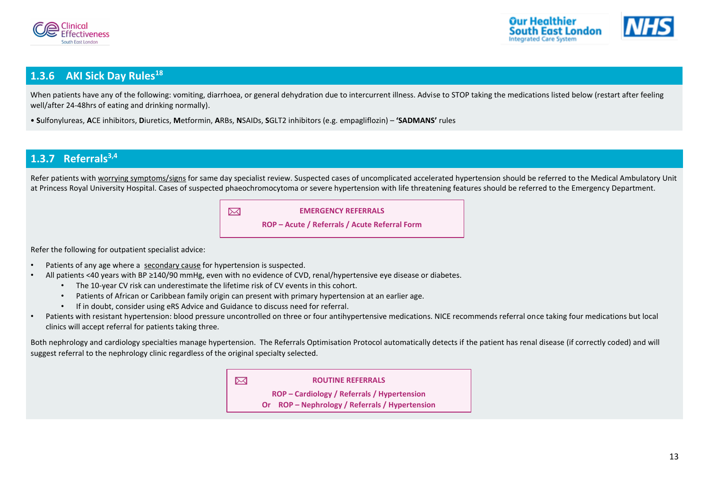



## <span id="page-13-2"></span><span id="page-13-1"></span>**1.3.6 AKI Sick Day Rules[18](#page-16-22)**

When patients have any of the following: vomiting, diarrhoea, or general dehydration due to intercurrent illness. Advise to STOP taking the medications listed below (restart after feeling well/after 24-48hrs of eating and drinking normally).

• **S**ulfonylureas, **A**CE inhibitors, **D**iuretics, **M**etformin, **A**RBs, **N**SAIDs, **S**GLT2 inhibitors (e.g. empagliflozin) – **'SADMANS'** rules

## <span id="page-13-3"></span><span id="page-13-0"></span>**1.3.7 Referrals[3,](#page-16-3)[4](#page-16-4)**

Refer patients wit[h worrying symptoms/signs](#page-7-5) for same day specialist review. Suspected cases of uncomplicated accelerated hypertension should be referred to the Medical Ambulatory Unit at Princess Royal University Hospital. Cases of suspected phaeochromocytoma or severe hypertension with life threatening features should be referred to the Emergency Department.

| $\overline{\mathbb{M}}$ | <b>EMERGENCY REFERRALS</b>                    |
|-------------------------|-----------------------------------------------|
|                         | ROP – Acute / Referrals / Acute Referral Form |

Refer the following for outpatient specialist advice:

- Patients of any age where a [secondary cause](#page-7-0) for hypertension is suspected.
- All patients <40 years with BP ≥140/90 mmHg, even with no evidence of CVD, renal/hypertensive eye disease or diabetes.
	- The 10-year CV risk can underestimate the lifetime risk of CV events in this cohort.
	- Patients of African or Caribbean family origin can present with primary hypertension at an earlier age.
	- If in doubt, consider using eRS Advice and Guidance to discuss need for referral.
- Patients with resistant hypertension: blood pressure uncontrolled on three or four antihypertensive medications. NICE recommends referral once taking four medications but local clinics will accept referral for patients taking three.

Both nephrology and cardiology specialties manage hypertension. The Referrals Optimisation Protocol automatically detects if the patient has renal disease (if correctly coded) and will suggest referral to the nephrology clinic regardless of the original specialty selected.

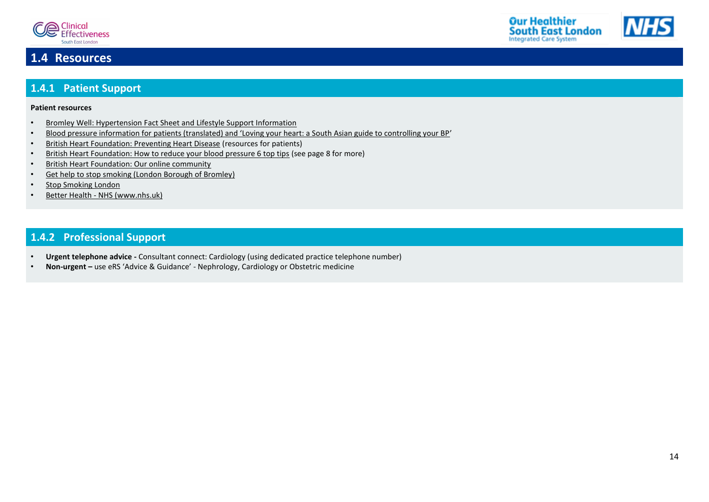



## <span id="page-14-0"></span>**1.4 Resources**

## <span id="page-14-3"></span><span id="page-14-1"></span>**1.4.1 Patient Support**

#### **Patient resources**

- [Bromley Well: Hypertension Fact Sheet and Lifestyle Support Information](https://www.bromleywell.org.uk/assets/documents/lthc-hypertension-2021)
- [Blood pressure information for patients \(translated\) and 'Loving your heart: a South Asian guide to controlling your BP'](http://www.bloodpressureuk.org/resources/publications/translated-blood-pressure-information/)
- [British Heart Foundation: Preventing Heart Disease](https://www.bhf.org.uk/heart-health/preventing-heart-disease) (resources for patients)
- [British Heart Foundation: How to reduce your blood pressure 6 top tips](https://www.bhf.org.uk/informationsupport/heart-matters-magazine/research/blood-pressure/blood-pressure-tips#:~:text=Unless%20your%20doctor%20tells%20you,should%20be%20below%20130%20%2F%2080) (see page 8 for more)
- [British Heart Foundation: Our online community](https://www.bhf.org.uk/informationsupport/our-online-community)
- [Get help to stop smoking \(London Borough of Bromley\)](https://www.bromley.gov.uk/info/200048/health_and_wellbeing/1309/get_help_to_stop_smoking)
- [Stop Smoking London](https://stopsmokinglondon.com/support-services/bromley)
- Better Health [NHS \(www.nhs.uk\)](https://www.nhs.uk/better-health/)

## <span id="page-14-4"></span><span id="page-14-2"></span>**1.4.2 Professional Support**

- **Urgent telephone advice -** Consultant connect: Cardiology (using dedicated practice telephone number)
- **Non-urgent –** use eRS 'Advice & Guidance' Nephrology, Cardiology or Obstetric medicine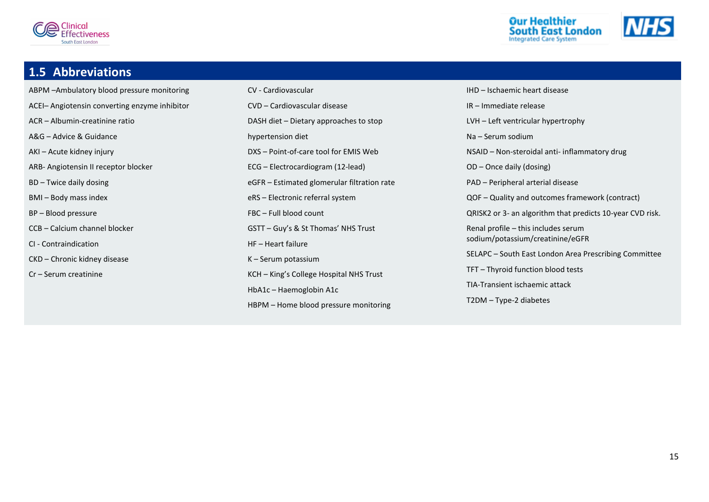





## <span id="page-15-0"></span>**1.5 Abbreviations**

- ABPM –Ambulatory blood pressure monitoring ACEI– Angiotensin converting enzyme inhibitor ACR – Albumin-creatinine ratio A&G – Advice & Guidance AKI – Acute kidney injury ARB- Angiotensin II receptor blocker BD – Twice daily dosing BMI – Body mass index BP – Blood pressure CCB – Calcium channel blocker CI - Contraindication CKD – Chronic kidney disease Cr – Serum creatinine
- CV Cardiovascular CVD – Cardiovascular disease DASH diet – Dietary approaches to stop hypertension diet DXS – Point-of-care tool for EMIS Web ECG – Electrocardiogram (12-lead) eGFR – Estimated glomerular filtration rate eRS – Electronic referral system FBC – Full blood count GSTT – Guy's & St Thomas' NHS Trust HF – Heart failure K – Serum potassium KCH – King's College Hospital NHS Trust HbA1c – Haemoglobin A1c HBPM – Home blood pressure monitoring

IHD – Ischaemic heart disease IR – Immediate release LVH – Left ventricular hypertrophy Na – Serum sodium NSAID – Non-steroidal anti- inflammatory drug OD – Once daily (dosing) PAD – Peripheral arterial disease QOF – Quality and outcomes framework (contract) QRISK2 or 3- an algorithm that predicts 10-year CVD risk. Renal profile – this includes serum sodium/potassium/creatinine/eGFR SELAPC – South East London Area Prescribing Committee TFT – Thyroid function blood tests TIA-Transient ischaemic attack T2DM – Type-2 diabetes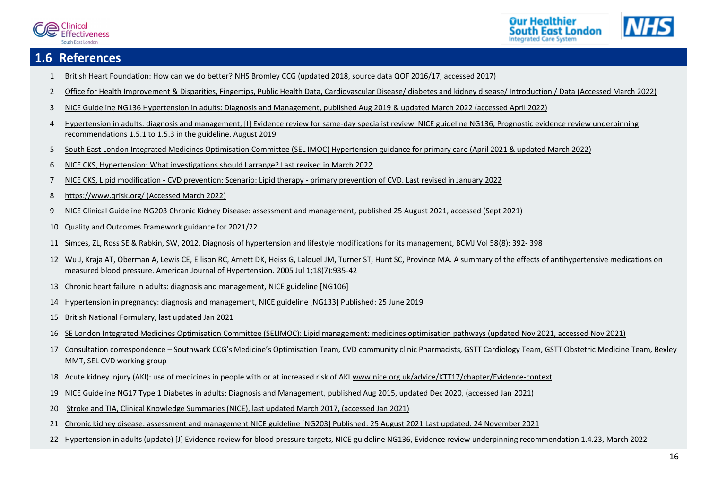



## <span id="page-16-1"></span><span id="page-16-0"></span>**1.6 References**

- British Heart Foundation: How can we do better? NHS Bromley CCG (updated 2018, source data QOF 2016/17, accessed 2017)
- <span id="page-16-2"></span>[Office for Health Improvement & Disparities, Fingertips, Public Health Data, Cardiovascular Disease/ diabetes and kidney disease/ Introduction / Data](https://fingertips.phe.org.uk/profile-group/cardiovascular-disease-diabetes-kidney-disease/profile/cardiovascular/data#page/0/gid/1938133106/pat/166/par/E38000244/ati/7/iid/91280/age/188/sex/4/cat/-1/ctp/-1/yrr/1/cid/4/tbm/1) (Accessed March 2022)
- <span id="page-16-3"></span>[NICE Guideline NG136 Hypertension in adults: Diagnosis and Management, published Aug 2019](https://www.nice.org.uk/guidance/ng136/resources/hypertension-in-adults-diagnosis-and-management-pdf-66141722710213) & updated March 2022 (accessed April 2022)
- <span id="page-16-4"></span> [Hypertension in adults: diagnosis and management, \[I\] Evidence review for same-day specialist review. NICE guideline NG136, Prognostic evidence review underpinning](https://www.nice.org.uk/guidance/ng136/evidence/i-sameday-specialist-review-pdf-248282935380)  [recommendations 1.5.1 to 1.5.3 in the guideline. August 2019](https://www.nice.org.uk/guidance/ng136/evidence/i-sameday-specialist-review-pdf-248282935380)
- <span id="page-16-5"></span>[South East London Integrated Medicines Optimisation Committee \(SEL IMOC\) Hypertension guidance for primary care \(April 2021](https://selondonccg.nhs.uk/download/11532/) & updated March 2022)
- <span id="page-16-8"></span>NICE CKS, Hypertension: [What investigations should I arrange? Last revised in March 2022](https://cks.nice.org.uk/topics/hypertension/diagnosis/investigations/)
- <span id="page-16-6"></span>NICE CKS, Lipid modification - [CVD prevention: Scenario: Lipid therapy -](https://cks.nice.org.uk/topics/lipid-modification-cvd-prevention/management/lipid-therapy-primary-prevention-of-cvd/) primary prevention of CVD. Last revised in January 2022
- <span id="page-16-7"></span>[https://www.qrisk.org/ \(Accessed March 2022\)](https://www.qrisk.org/)
- <span id="page-16-9"></span>[NICE Clinical Guideline NG203 Chronic Kidney Disease: assessment and management, published 25 August 2021, accessed \(Sept 2021\)](https://www.nice.org.uk/guidance/ng203/resources/chronic-kidney-disease-assessment-and-management-pdf-66143713055173)
- <span id="page-16-10"></span>[Quality and Outcomes Framework guidance for 2021/22](https://www.england.nhs.uk/wp-content/uploads/2021/03/B0456-update-on-quality-outcomes-framework-changes-for-21-22-.pdf)
- <span id="page-16-15"></span>Simces, ZL, Ross SE & Rabkin, SW, 2012, Diagnosis of hypertension and lifestyle modifications for its management, BCMJ Vol 58(8): 392- 398
- <span id="page-16-16"></span> Wu J, Kraja AT, Oberman A, Lewis CE, Ellison RC, Arnett DK, Heiss G, Lalouel JM, Turner ST, Hunt SC, Province MA. A summary of the effects of antihypertensive medications on measured blood pressure. American Journal of Hypertension. 2005 Jul 1;18(7):935-42
- <span id="page-16-17"></span>[Chronic heart failure in adults: diagnosis and management, NICE guideline \[NG106\]](https://www.nice.org.uk/guidance/ng106)
- <span id="page-16-18"></span>[Hypertension in pregnancy: diagnosis and management, NICE guideline \[NG133\] Published: 25 June 2019](https://www.nice.org.uk/guidance/ng133)
- <span id="page-16-19"></span>British National Formulary, last updated Jan 2021
- <span id="page-16-20"></span>[SE London Integrated Medicines Optimisation Committee \(SELIMOC\): Lipid management: medicines optimisation pathways \(updated Nov](https://selondonccg.nhs.uk/download/16002/) 2021, accessed Nov 2021)
- <span id="page-16-21"></span> Consultation correspondence – Southwark CCG's Medicine's Optimisation Team, CVD community clinic Pharmacists, GSTT Cardiology Team, GSTT Obstetric Medicine Team, Bexley MMT, SEL CVD working group
- <span id="page-16-22"></span>18 Acute kidney injury (AKI): use of medicines in people with or at increased risk of AKI [www.nice.org.uk/advice/KTT17/chapter/Evidence-context](http://www.nice.org.uk/advice/KTT17/chapter/Evidence-context)
- <span id="page-16-11"></span>[NICE Guideline NG17 Type 1 Diabetes in adults: Diagnosis and Management, published Aug 2015, updated Dec 2020, \(accessed Jan 2021\)](https://www.nice.org.uk/guidance/ng17/resources/type-1-diabetes-in-adults-diagnosis-and-management-pdf-1837276469701)
- <span id="page-16-12"></span>[Stroke and TIA, Clinical Knowledge Summaries \(NICE\), last updated March 2017, \(accessed Jan 2021\)](https://cks.nice.org.uk/topics/stroke-tia/management/secondary-prevention-following-stroke-tia/)
- <span id="page-16-13"></span>[Chronic kidney disease: assessment and management NICE guideline \[NG203\] Published: 25 August 2021 Last updated: 24 November 2021](https://www.nice.org.uk/guidance/qs5/chapter/quality-statement-2-blood-pressure-control)
- <span id="page-16-14"></span>Hypertension in adults (update) [J] Evidence review for blood pressure targets, NICE [guideline NG136, Evidence review underpinning recommendation 1.4.23, March 2022](https://www.nice.org.uk/guidance/ng136/evidence/evidence-review-j-pdf-11008446878)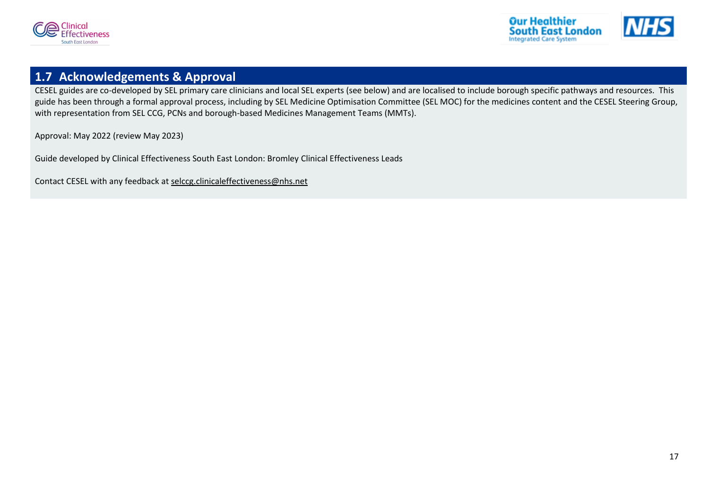



## <span id="page-17-0"></span>**1.7 Acknowledgements & Approval**

CESEL guides are co-developed by SEL primary care clinicians and local SEL experts (see below) and are localised to include borough specific pathways and resources. This guide has been through a formal approval process, including by SEL Medicine Optimisation Committee (SEL MOC) for the medicines content and the CESEL Steering Group, with representation from SEL CCG, PCNs and borough-based Medicines Management Teams (MMTs).

Approval: May 2022 (review May 2023)

Guide developed by Clinical Effectiveness South East London: Bromley Clinical Effectiveness Leads

Contact CESEL with any feedback at [selccg.clinicaleffectiveness@nhs.net](mailto:selccg.clinicaleffectiveness@nhs.net)